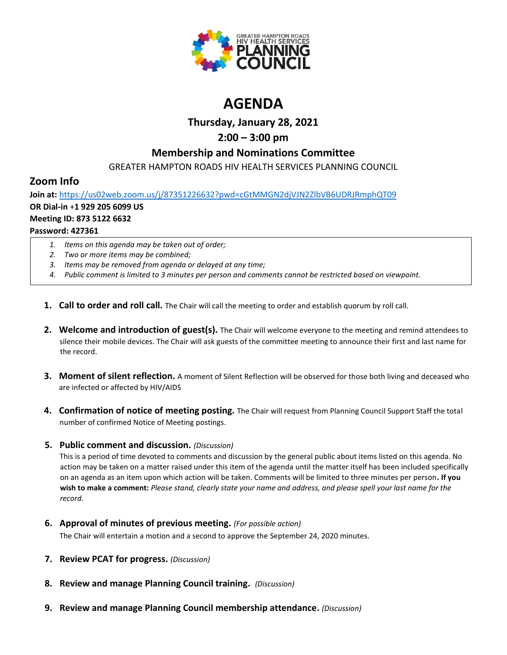

# **AGENDA**

## **Thursday, January 28, 2021**

# **2:00 – 3:00 pm**

## **Membership and Nominations Committee**

GREATER HAMPTON ROADS HIV HEALTH SERVICES PLANNING COUNCIL

# **Zoom Info**

**Join at:** <https://us02web.zoom.us/j/87351226632?pwd=cGtMMGN2djVJN2ZlbVB6UDRJRmphQT09> **OR Dial-in** +**1 929 205 6099 US Meeting ID: 873 5122 6632 Password: 427361**

- *1. Items on this agenda may be taken out of order;*
- *2. Two or more items may be combined;*
- *3. Items may be removed from agenda or delayed at any time;*
- *4. Public comment is limited to 3 minutes per person and comments cannot be restricted based on viewpoint.*
- **1. Call to order and roll call.** The Chair will call the meeting to order and establish quorum by roll call.
- **2. Welcome and introduction of guest(s).** The Chair will welcome everyone to the meeting and remind attendees to silence their mobile devices. The Chair will ask guests of the committee meeting to announce their first and last name for the record.
- **3. Moment of silent reflection.** A moment of Silent Reflection will be observed for those both living and deceased who are infected or affected by HIV/AIDS
- **4. Confirmation of notice of meeting posting.** The Chair will request from Planning Council Support Staff the total number of confirmed Notice of Meeting postings.
- **5. Public comment and discussion.** *(Discussion)*

This is a period of time devoted to comments and discussion by the general public about items listed on this agenda. No action may be taken on a matter raised under this item of the agenda until the matter itself has been included specifically on an agenda as an item upon which action will be taken. Comments will be limited to three minutes per person**. If you wish to make a comment:** *Please stand, clearly state your name and address, and please spell your last name for the record.*

**6. Approval of minutes of previous meeting.** *(For possible action)*

The Chair will entertain a motion and a second to approve the September 24, 2020 minutes.

- **7. Review PCAT for progress.** *(Discussion)*
- **8. Review and manage Planning Council training.** *(Discussion)*
- **9. Review and manage Planning Council membership attendance.** *(Discussion)*